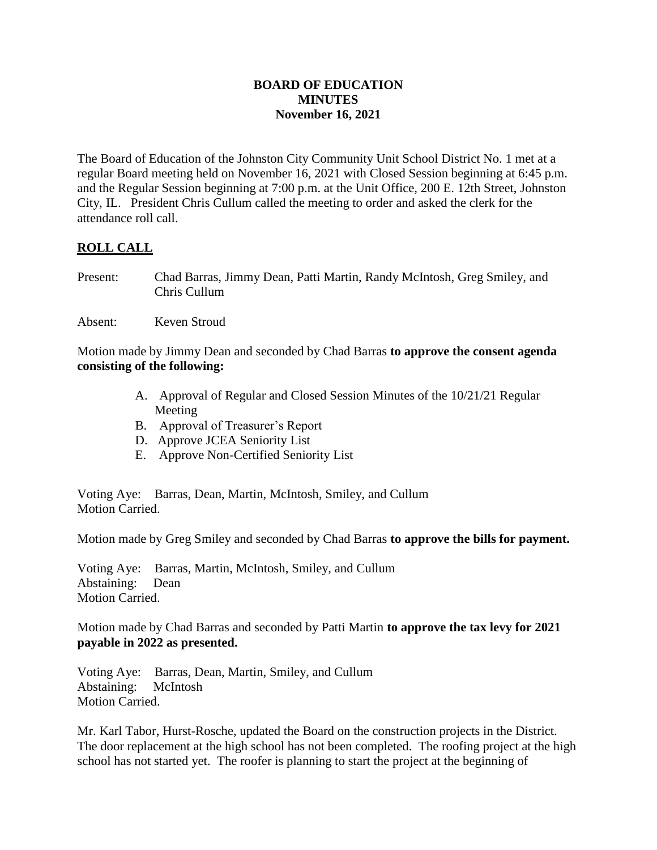## **BOARD OF EDUCATION MINUTES November 16, 2021**

The Board of Education of the Johnston City Community Unit School District No. 1 met at a regular Board meeting held on November 16, 2021 with Closed Session beginning at 6:45 p.m. and the Regular Session beginning at 7:00 p.m. at the Unit Office, 200 E. 12th Street, Johnston City, IL. President Chris Cullum called the meeting to order and asked the clerk for the attendance roll call.

# **ROLL CALL**

- Present: Chad Barras, Jimmy Dean, Patti Martin, Randy McIntosh, Greg Smiley, and Chris Cullum
- Absent: Keven Stroud

Motion made by Jimmy Dean and seconded by Chad Barras **to approve the consent agenda consisting of the following:**

- A. Approval of Regular and Closed Session Minutes of the 10/21/21 Regular Meeting
- B. Approval of Treasurer's Report
- D. Approve JCEA Seniority List
- E. Approve Non-Certified Seniority List

Voting Aye: Barras, Dean, Martin, McIntosh, Smiley, and Cullum Motion Carried.

Motion made by Greg Smiley and seconded by Chad Barras **to approve the bills for payment.**

Voting Aye: Barras, Martin, McIntosh, Smiley, and Cullum Abstaining: Dean Motion Carried.

Motion made by Chad Barras and seconded by Patti Martin **to approve the tax levy for 2021 payable in 2022 as presented.**

Voting Aye: Barras, Dean, Martin, Smiley, and Cullum Abstaining: McIntosh Motion Carried.

Mr. Karl Tabor, Hurst-Rosche, updated the Board on the construction projects in the District. The door replacement at the high school has not been completed. The roofing project at the high school has not started yet. The roofer is planning to start the project at the beginning of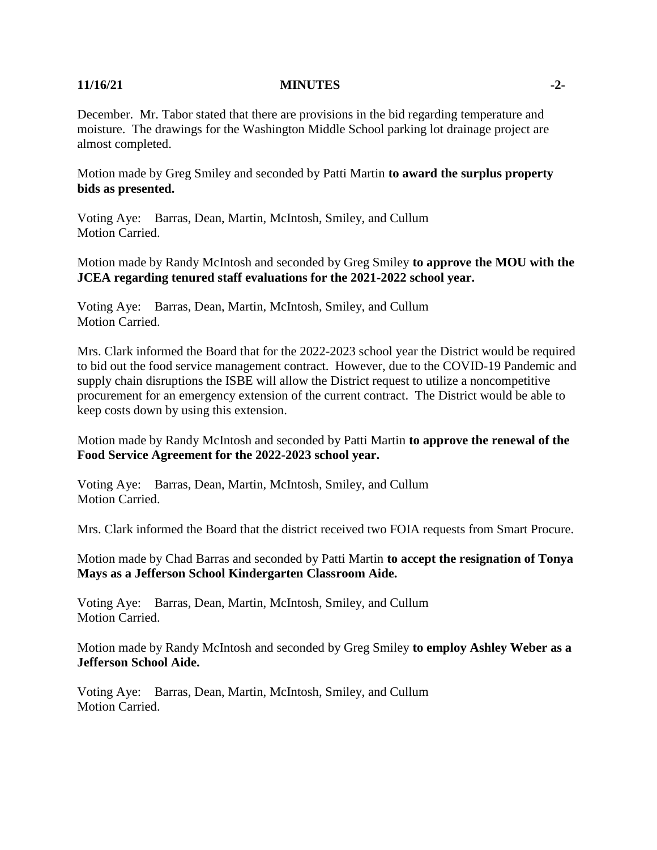### **11/16/21 MINUTES -2-**

December. Mr. Tabor stated that there are provisions in the bid regarding temperature and moisture. The drawings for the Washington Middle School parking lot drainage project are almost completed.

Motion made by Greg Smiley and seconded by Patti Martin **to award the surplus property bids as presented.**

Voting Aye: Barras, Dean, Martin, McIntosh, Smiley, and Cullum Motion Carried.

Motion made by Randy McIntosh and seconded by Greg Smiley **to approve the MOU with the JCEA regarding tenured staff evaluations for the 2021-2022 school year.**

Voting Aye: Barras, Dean, Martin, McIntosh, Smiley, and Cullum Motion Carried.

Mrs. Clark informed the Board that for the 2022-2023 school year the District would be required to bid out the food service management contract. However, due to the COVID-19 Pandemic and supply chain disruptions the ISBE will allow the District request to utilize a noncompetitive procurement for an emergency extension of the current contract. The District would be able to keep costs down by using this extension.

Motion made by Randy McIntosh and seconded by Patti Martin **to approve the renewal of the Food Service Agreement for the 2022-2023 school year.**

Voting Aye: Barras, Dean, Martin, McIntosh, Smiley, and Cullum Motion Carried.

Mrs. Clark informed the Board that the district received two FOIA requests from Smart Procure.

Motion made by Chad Barras and seconded by Patti Martin **to accept the resignation of Tonya Mays as a Jefferson School Kindergarten Classroom Aide.**

Voting Aye: Barras, Dean, Martin, McIntosh, Smiley, and Cullum Motion Carried.

Motion made by Randy McIntosh and seconded by Greg Smiley **to employ Ashley Weber as a Jefferson School Aide.**

Voting Aye: Barras, Dean, Martin, McIntosh, Smiley, and Cullum Motion Carried.